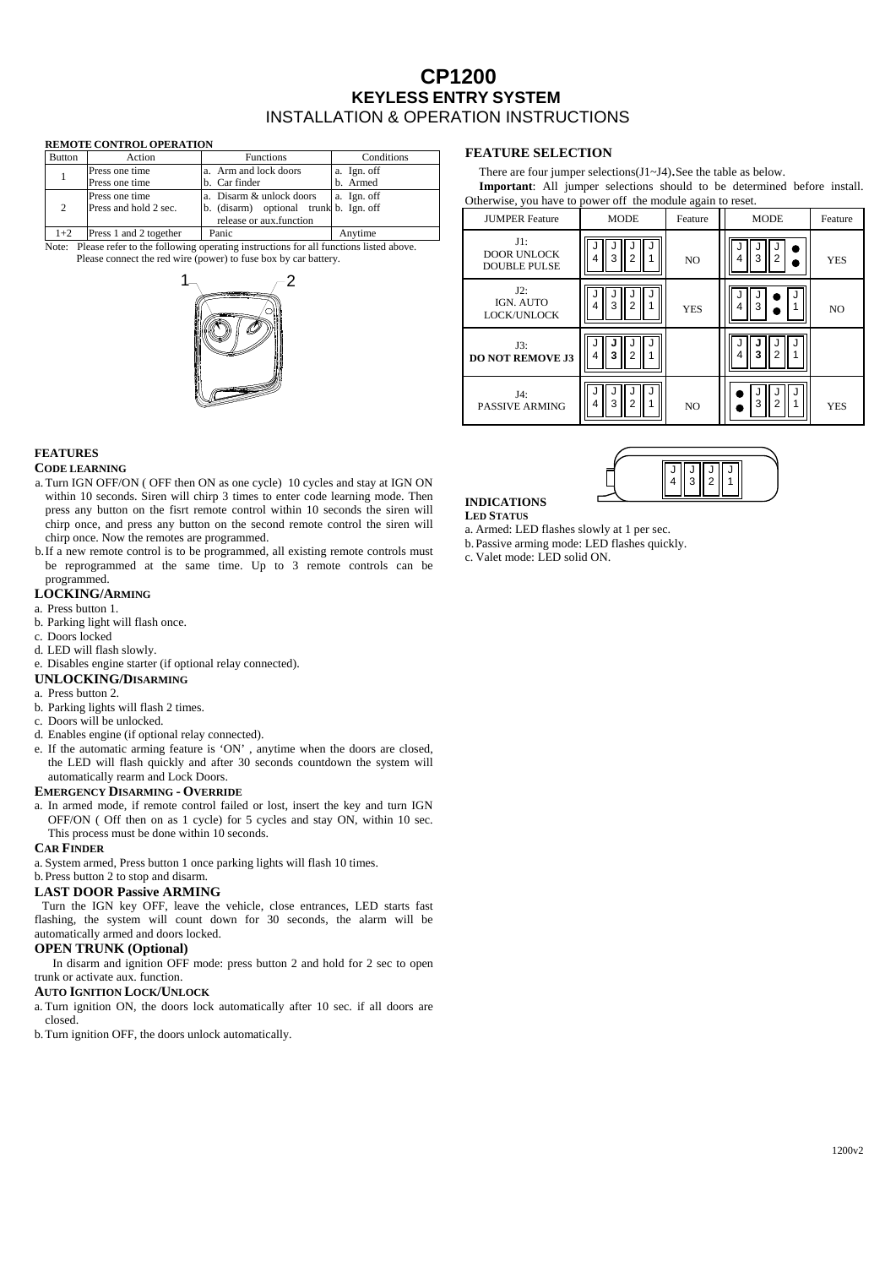# **CP1200 KEYLESS ENTRY SYSTEM**  INSTALLATION & OPERATION INSTRUCTIONS

#### **REMOTE CONTROL OPERATION**

| <b>Button</b> | Action                 | <b>Functions</b>                       | Conditions  |
|---------------|------------------------|----------------------------------------|-------------|
|               | Press one time         | a. Arm and lock doors                  | a. Ign. off |
|               | Press one time         | b. Car finder                          | b. Armed    |
| 2             | Press one time         | a. Disarm & unlock doors               | a. Ign. off |
|               | Press and hold 2 sec.  | b. (disarm) optional trunk b. Ign. off |             |
|               |                        | release or aux.function                |             |
| $1+2$         | Press 1 and 2 together | Panic                                  | Anvtime     |

Note: Please refer to the following operating instructions for all functions listed above. Please connect the red wire (power) to fuse box by car battery.



# **FEATURES**

# **CODE LEARNING**

- a. Turn IGN OFF/ON ( OFF then ON as one cycle) 10 cycles and stay at IGN ON within 10 seconds. Siren will chirp 3 times to enter code learning mode. Then press any button on the fisrt remote control within 10 seconds the siren will chirp once, and press any button on the second remote control the siren will chirp once. Now the remotes are programmed.
- b.If a new remote control is to be programmed, all existing remote controls must be reprogrammed at the same time. Up to 3 remote controls can be programmed.

## **LOCKING/ARMING**

- a. Press button 1.
- b. Parking light will flash once.
- c. Doors locked
- d. LED will flash slowly.
- e. Disables engine starter (if optional relay connected).
- **UNLOCKING/DISARMING**
- a. Press button 2.
- b. Parking lights will flash 2 times.
- c. Doors will be unlocked.
- d. Enables engine (if optional relay connected).
- e. If the automatic arming feature is 'ON' , anytime when the doors are closed, the LED will flash quickly and after 30 seconds countdown the system will automatically rearm and Lock Doors.

### **EMERGENCY DISARMING - OVERRIDE**

a. In armed mode, if remote control failed or lost, insert the key and turn IGN OFF/ON ( Off then on as 1 cycle) for 5 cycles and stay ON, within 10 sec. This process must be done within 10 seconds.

#### **CAR FINDER**

a. System armed, Press button 1 once parking lights will flash 10 times.

# b.Press button 2 to stop and disarm.

### **LAST DOOR Passive ARMING**

Turn the IGN key OFF, leave the vehicle, close entrances, LED starts fast flashing, the system will count down for 30 seconds, the alarm will be automatically armed and doors locked.

## **OPEN TRUNK (Optional)**

 In disarm and ignition OFF mode: press button 2 and hold for 2 sec to open trunk or activate aux. function.

## **AUTO IGNITION LOCK/UNLOCK**

a. Turn ignition ON, the doors lock automatically after 10 sec. if all doors are closed.

b.Turn ignition OFF, the doors unlock automatically.

# **FEATURE SELECTION**

There are four jumper selections(J1~J4).See the table as below. **Important**: All jumper selections should to be determined before install. Otherwise, you have to power off the module again to reset.

| <b>JUMPER Feature</b>                               | <b>MODE</b> | Feature        | <b>MODE</b>         | Feature    |
|-----------------------------------------------------|-------------|----------------|---------------------|------------|
| $J1$ :<br><b>DOOR UNLOCK</b><br><b>DOUBLE PULSE</b> | 3           | NO             | $\overline{2}$<br>3 | <b>YES</b> |
| $J2$ :<br>IGN. AUTO<br>LOCK/UNLOCK                  | 3<br>2      | <b>YES</b>     | з                   | NO         |
| J3:<br><b>DO NOT REMOVE J3</b>                      | 3           |                | 2                   |            |
| J4:<br><b>PASSIVE ARMING</b>                        | 3<br>2      | N <sub>O</sub> | $\overline{2}$<br>3 | <b>YES</b> |



**INDICATIONS LED STATUS**

a. Armed: LED flashes slowly at 1 per sec.

b.Passive arming mode: LED flashes quickly.

c. Valet mode: LED solid ON.